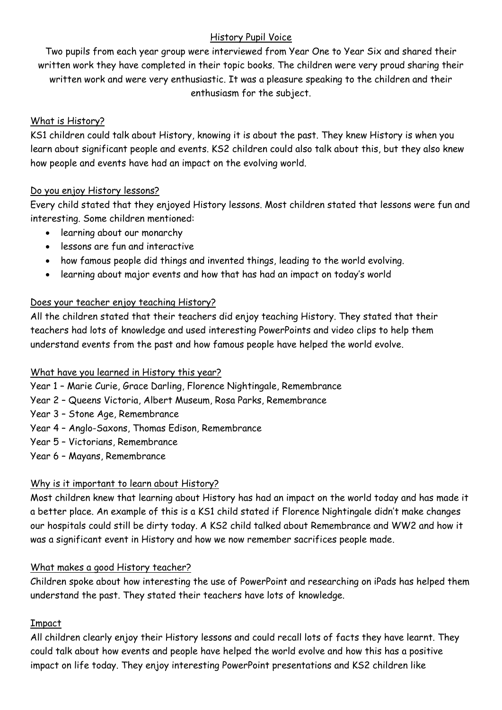#### History Pupil Voice

Two pupils from each year group were interviewed from Year One to Year Six and shared their written work they have completed in their topic books. The children were very proud sharing their written work and were very enthusiastic. It was a pleasure speaking to the children and their enthusiasm for the subject.

### What is History?

KS1 children could talk about History, knowing it is about the past. They knew History is when you learn about significant people and events. KS2 children could also talk about this, but they also knew how people and events have had an impact on the evolving world.

### Do you enjoy History lessons?

Every child stated that they enjoyed History lessons. Most children stated that lessons were fun and interesting. Some children mentioned:

- learning about our monarchy
- lessons are fun and interactive
- how famous people did things and invented things, leading to the world evolving.
- learning about major events and how that has had an impact on today's world

# Does your teacher enjoy teaching History?

All the children stated that their teachers did enjoy teaching History. They stated that their teachers had lots of knowledge and used interesting PowerPoints and video clips to help them understand events from the past and how famous people have helped the world evolve.

# What have you learned in History this year?

Year 1 – Marie Curie, Grace Darling, Florence Nightingale, Remembrance

- Year 2 Queens Victoria, Albert Museum, Rosa Parks, Remembrance
- Year 3 Stone Age, Remembrance
- Year 4 Anglo-Saxons, Thomas Edison, Remembrance
- Year 5 Victorians, Remembrance
- Year 6 Mayans, Remembrance

# Why is it important to learn about History?

Most children knew that learning about History has had an impact on the world today and has made it a better place. An example of this is a KS1 child stated if Florence Nightingale didn't make changes our hospitals could still be dirty today. A KS2 child talked about Remembrance and WW2 and how it was a significant event in History and how we now remember sacrifices people made.

#### What makes a good History teacher?

Children spoke about how interesting the use of PowerPoint and researching on iPads has helped them understand the past. They stated their teachers have lots of knowledge.

# Impact

All children clearly enjoy their History lessons and could recall lots of facts they have learnt. They could talk about how events and people have helped the world evolve and how this has a positive impact on life today. They enjoy interesting PowerPoint presentations and KS2 children like